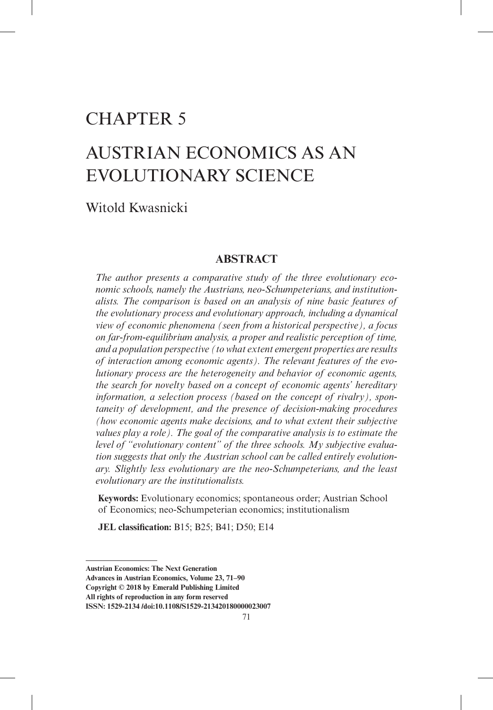## **CHAPTER 5**

# Austrian Economics as an Evolutionary Science

### Witold Kwasnicki

#### **ABSTRACT**

*The author presents a comparative study of the three evolutionary economic schools, namely the Austrians, neo-Schumpeterians, and institutionalists. The comparison is based on an analysis of nine basic features of the evolutionary process and evolutionary approach, including a dynamical view of economic phenomena (seen from a historical perspective), a focus on far-from-equilibrium analysis, a proper and realistic perception of time, and a population perspective (to what extent emergent properties are results of interaction among economic agents). The relevant features of the evolutionary process are the heterogeneity and behavior of economic agents, the search for novelty based on a concept of economic agents' hereditary information, a selection process (based on the concept of rivalry), spontaneity of development, and the presence of decision-making procedures (how economic agents make decisions, and to what extent their subjective values play a role). The goal of the comparative analysis is to estimate the level of "evolutionary content" of the three schools. My subjective evaluation suggests that only the Austrian school can be called entirely evolutionary. Slightly less evolutionary are the neo-Schumpeterians, and the least evolutionary are the institutionalists.*

**Keywords:** Evolutionary economics; spontaneous order; Austrian School of Economics; neo-Schumpeterian economics; institutionalism

**JEL classification:** B15; B25; B41; D50; E14

**Austrian Economics: The Next Generation**

**Advances in Austrian Economics, Volume 23, 71–90**

**Copyright © 2018 by Emerald Publishing Limited All rights of reproduction in any form reserved**

**ISSN: 1529-2134 /doi:10.1108/S1529-213420180000023007**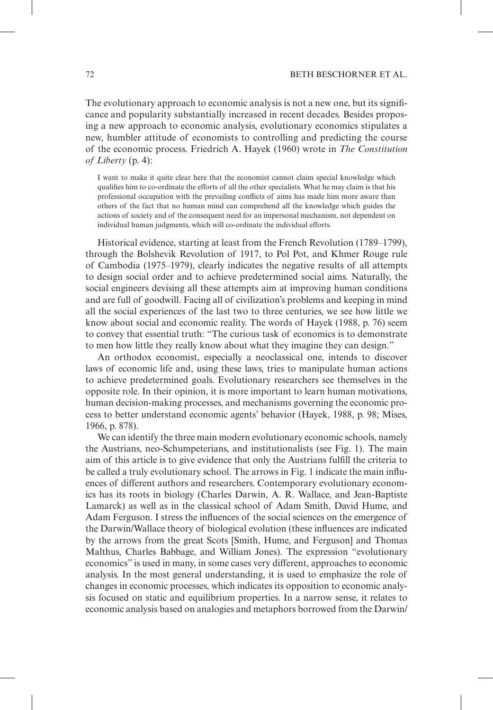The evolutionary approach to economic analysis is not a new one, but its significance and popularity substantially increased in recent decades. Besides proposing a new approach to economic analysis, evolutionary economics stipulates a new, humbler attitude of economists to controlling and predicting the course of the economic process. Friedrich A. Hayek (1960) wrote in *The Constitution of Liberty* (p. 4):

I want to make it quite clear here that the economist cannot claim special knowledge which qualifies him to co-ordinate the efforts of all the other specialists. What he may claim is that his professional occupation with the prevailing conflicts of aims has made him more aware than others of the fact that no human mind can comprehend all the knowledge which guides the actions of society and of the consequent need for an impersonal mechanism, not dependent on individual human judgments, which will co-ordinate the individual efforts.

Historical evidence, starting at least from the French Revolution (1789–1799), through the Bolshevik Revolution of 1917, to Pol Pot, and Khmer Rouge rule of Cambodia (1975–1979), clearly indicates the negative results of all attempts to design social order and to achieve predetermined social aims. Naturally, the social engineers devising all these attempts aim at improving human conditions and are full of goodwill. Facing all of civilization's problems and keeping in mind all the social experiences of the last two to three centuries, we see how little we know about social and economic reality. The words of Hayek (1988, p. 76) seem to convey that essential truth: "The curious task of economics is to demonstrate to men how little they really know about what they imagine they can design."

An orthodox economist, especially a neoclassical one, intends to discover laws of economic life and, using these laws, tries to manipulate human actions to achieve predetermined goals. Evolutionary researchers see themselves in the opposite role. In their opinion, it is more important to learn human motivations, human decision-making processes, and mechanisms governing the economic process to better understand economic agents' behavior (Hayek, 1988, p. 98; Mises, 1966, p. 878).

We can identify the three main modern evolutionary economic schools, namely the Austrians, neo-Schumpeterians, and institutionalists (see Fig. 1). The main aim of this article is to give evidence that only the Austrians fulfill the criteria to be called a truly evolutionary school. The arrows in Fig. 1 indicate the main influences of different authors and researchers. Contemporary evolutionary economics has its roots in biology (Charles Darwin, A. R. Wallace, and Jean-Baptiste Lamarck) as well as in the classical school of Adam Smith, David Hume, and Adam Ferguson. I stress the influences of the social sciences on the emergence of the Darwin/Wallace theory of biological evolution (these influences are indicated by the arrows from the great Scots [Smith, Hume, and Ferguson] and Thomas Malthus, Charles Babbage, and William Jones). The expression "evolutionary economics" is used in many, in some cases very different, approaches to economic analysis. In the most general understanding, it is used to emphasize the role of changes in economic processes, which indicates its opposition to economic analysis focused on static and equilibrium properties. In a narrow sense, it relates to economic analysis based on analogies and metaphors borrowed from the Darwin/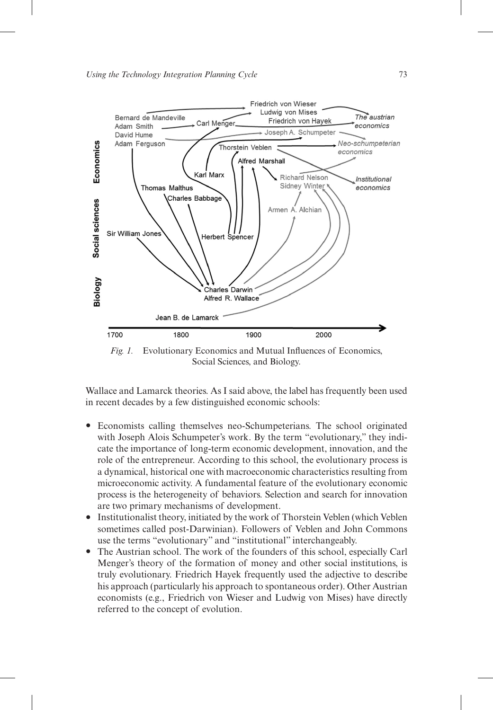

*Fig. 1.* Evolutionary Economics and Mutual Influences of Economics, Social Sciences, and Biology.

Wallace and Lamarck theories. As I said above, the label has frequently been used in recent decades by a few distinguished economic schools:

- Economists calling themselves neo-Schumpeterians. The school originated with Joseph Alois Schumpeter's work. By the term "evolutionary," they indicate the importance of long-term economic development, innovation, and the role of the entrepreneur. According to this school, the evolutionary process is a dynamical, historical one with macroeconomic characteristics resulting from microeconomic activity. A fundamental feature of the evolutionary economic process is the heterogeneity of behaviors. Selection and search for innovation are two primary mechanisms of development.
- Institutionalist theory, initiated by the work of Thorstein Veblen (which Veblen sometimes called post-Darwinian). Followers of Veblen and John Commons use the terms "evolutionary" and "institutional" interchangeably.
- The Austrian school. The work of the founders of this school, especially Carl Menger's theory of the formation of money and other social institutions, is truly evolutionary. Friedrich Hayek frequently used the adjective to describe his approach (particularly his approach to spontaneous order). Other Austrian economists (e.g., Friedrich von Wieser and Ludwig von Mises) have directly referred to the concept of evolution.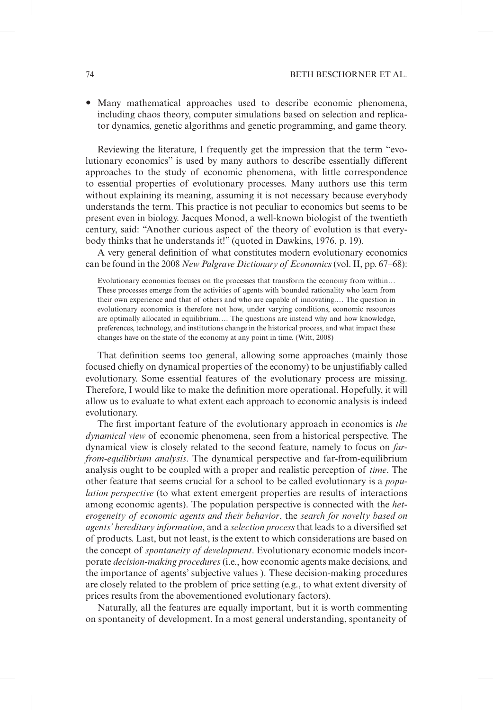• Many mathematical approaches used to describe economic phenomena, including chaos theory, computer simulations based on selection and replicator dynamics, genetic algorithms and genetic programming, and game theory.

Reviewing the literature, I frequently get the impression that the term "evolutionary economics" is used by many authors to describe essentially different approaches to the study of economic phenomena, with little correspondence to essential properties of evolutionary processes. Many authors use this term without explaining its meaning, assuming it is not necessary because everybody understands the term. This practice is not peculiar to economics but seems to be present even in biology. Jacques Monod, a well-known biologist of the twentieth century, said: "Another curious aspect of the theory of evolution is that everybody thinks that he understands it!" (quoted in Dawkins, 1976, p. 19).

A very general definition of what constitutes modern evolutionary economics can be found in the 2008 *New Palgrave Dictionary of Economics* (vol. II, pp. 67–68):

Evolutionary economics focuses on the processes that transform the economy from within… These processes emerge from the activities of agents with bounded rationality who learn from their own experience and that of others and who are capable of innovating.… The question in evolutionary economics is therefore not how, under varying conditions, economic resources are optimally allocated in equilibrium…. The questions are instead why and how knowledge, preferences, technology, and institutions change in the historical process, and what impact these changes have on the state of the economy at any point in time. (Witt, 2008)

That definition seems too general, allowing some approaches (mainly those focused chiefly on dynamical properties of the economy) to be unjustifiably called evolutionary. Some essential features of the evolutionary process are missing. Therefore, I would like to make the definition more operational. Hopefully, it will allow us to evaluate to what extent each approach to economic analysis is indeed evolutionary.

The first important feature of the evolutionary approach in economics is *the dynamical view* of economic phenomena, seen from a historical perspective. The dynamical view is closely related to the second feature, namely to focus on *farfrom-equilibrium analysis*. The dynamical perspective and far-from-equilibrium analysis ought to be coupled with a proper and realistic perception of *time*. The other feature that seems crucial for a school to be called evolutionary is a *population perspective* (to what extent emergent properties are results of interactions among economic agents). The population perspective is connected with the *heterogeneity of economic agents and their behavior*, the *search for novelty based on agents' hereditary information*, and a *selection process* that leads to a diversified set of products. Last, but not least, is the extent to which considerations are based on the concept of *spontaneity of development*. Evolutionary economic models incorporate *decision-making procedures* (i.e., how economic agents make decisions, and the importance of agents' subjective values ). These decision-making procedures are closely related to the problem of price setting (e.g., to what extent diversity of prices results from the abovementioned evolutionary factors).

Naturally, all the features are equally important, but it is worth commenting on spontaneity of development. In a most general understanding, spontaneity of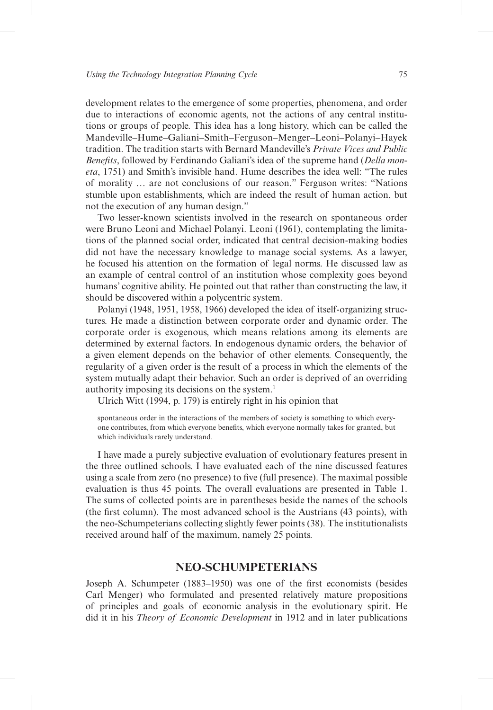development relates to the emergence of some properties, phenomena, and order due to interactions of economic agents, not the actions of any central institutions or groups of people. This idea has a long history, which can be called the Mandeville–Hume–Galiani–Smith–Ferguson–Menger–Leoni–Polanyi–Hayek tradition. The tradition starts with Bernard Mandeville's *Private Vices and Public Benefits*, followed by Ferdinando Galiani's idea of the supreme hand (*Della moneta*, 1751) and Smith's invisible hand. Hume describes the idea well: "The rules of morality … are not conclusions of our reason." Ferguson writes: "Nations stumble upon establishments, which are indeed the result of human action, but not the execution of any human design."

Two lesser-known scientists involved in the research on spontaneous order were Bruno Leoni and Michael Polanyi. Leoni (1961), contemplating the limitations of the planned social order, indicated that central decision-making bodies did not have the necessary knowledge to manage social systems. As a lawyer, he focused his attention on the formation of legal norms. He discussed law as an example of central control of an institution whose complexity goes beyond humans' cognitive ability. He pointed out that rather than constructing the law, it should be discovered within a polycentric system.

Polanyi (1948, 1951, 1958, 1966) developed the idea of itself-organizing structures. He made a distinction between corporate order and dynamic order. The corporate order is exogenous, which means relations among its elements are determined by external factors. In endogenous dynamic orders, the behavior of a given element depends on the behavior of other elements. Consequently, the regularity of a given order is the result of a process in which the elements of the system mutually adapt their behavior. Such an order is deprived of an overriding authority imposing its decisions on the system.1

Ulrich Witt (1994, p. 179) is entirely right in his opinion that

spontaneous order in the interactions of the members of society is something to which everyone contributes, from which everyone benefits, which everyone normally takes for granted, but which individuals rarely understand.

I have made a purely subjective evaluation of evolutionary features present in the three outlined schools. I have evaluated each of the nine discussed features using a scale from zero (no presence) to five (full presence). The maximal possible evaluation is thus 45 points. The overall evaluations are presented in Table 1. The sums of collected points are in parentheses beside the names of the schools (the first column). The most advanced school is the Austrians (43 points), with the neo-Schumpeterians collecting slightly fewer points (38). The institutionalists received around half of the maximum, namely 25 points.

#### **Neo-schumpeterians**

Joseph A. Schumpeter (1883–1950) was one of the first economists (besides Carl Menger) who formulated and presented relatively mature propositions of principles and goals of economic analysis in the evolutionary spirit. He did it in his *Theory of Economic Development* in 1912 and in later publications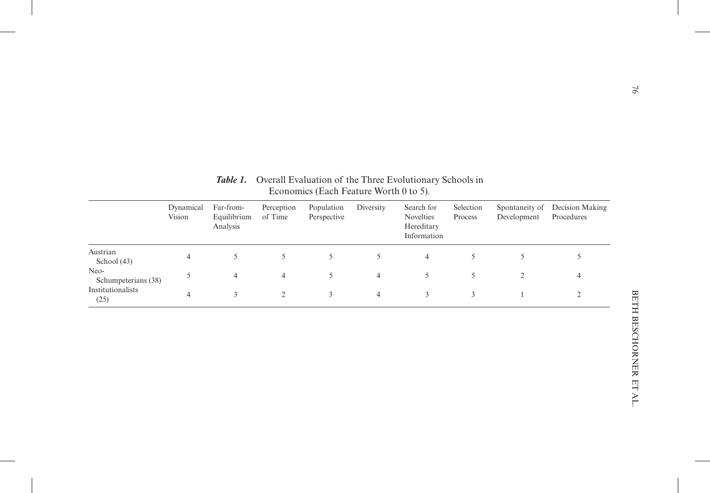|                             | Dynamical<br>Vision | Far-from-<br>Equilibrium<br>Analysis | Perception<br>of Time | Population<br>Perspective | Diversity      | Search for<br>Novelties<br>Hereditary<br>Information | Selection<br>Process | Spontaneity of<br>Development | Decision Making<br>Procedures |
|-----------------------------|---------------------|--------------------------------------|-----------------------|---------------------------|----------------|------------------------------------------------------|----------------------|-------------------------------|-------------------------------|
| Austrian<br>School $(43)$   | $\overline{4}$      | 5                                    |                       | 5                         | 5              | 4                                                    | 5                    |                               |                               |
| Neo-<br>Schumpeterians (38) |                     | 4                                    | 4                     |                           | $\overline{4}$ |                                                      |                      |                               | 4                             |
| Institutionalists<br>(25)   | 4                   | 3                                    | 2                     | 3                         | 4              | 3                                                    | 3                    |                               |                               |

*Table 1.* Overall Evaluation of the Three Evolutionary Schools in Economics (Each Feature Worth 0 to 5).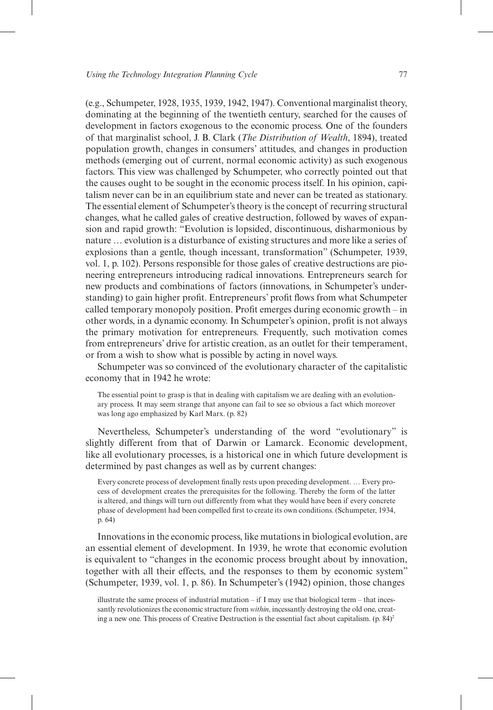(e.g., Schumpeter, 1928, 1935, 1939, 1942, 1947). Conventional marginalist theory, dominating at the beginning of the twentieth century, searched for the causes of development in factors exogenous to the economic process. One of the founders of that marginalist school, J. B. Clark (*The Distribution of Wealth*, 1894), treated population growth, changes in consumers' attitudes, and changes in production methods (emerging out of current, normal economic activity) as such exogenous factors. This view was challenged by Schumpeter, who correctly pointed out that the causes ought to be sought in the economic process itself. In his opinion, capitalism never can be in an equilibrium state and never can be treated as stationary. The essential element of Schumpeter's theory is the concept of recurring structural changes, what he called gales of creative destruction, followed by waves of expansion and rapid growth: "Evolution is lopsided, discontinuous, disharmonious by nature … evolution is a disturbance of existing structures and more like a series of explosions than a gentle, though incessant, transformation" (Schumpeter, 1939, vol. 1, p. 102). Persons responsible for those gales of creative destructions are pioneering entrepreneurs introducing radical innovations. Entrepreneurs search for new products and combinations of factors (innovations, in Schumpeter's understanding) to gain higher profit. Entrepreneurs' profit flows from what Schumpeter called temporary monopoly position. Profit emerges during economic growth – in other words, in a dynamic economy. In Schumpeter's opinion, profit is not always the primary motivation for entrepreneurs. Frequently, such motivation comes from entrepreneurs' drive for artistic creation, as an outlet for their temperament, or from a wish to show what is possible by acting in novel ways.

Schumpeter was so convinced of the evolutionary character of the capitalistic economy that in 1942 he wrote:

The essential point to grasp is that in dealing with capitalism we are dealing with an evolutionary process. It may seem strange that anyone can fail to see so obvious a fact which moreover was long ago emphasized by Karl Marx. (p. 82)

Nevertheless, Schumpeter's understanding of the word "evolutionary" is slightly different from that of Darwin or Lamarck. Economic development, like all evolutionary processes, is a historical one in which future development is determined by past changes as well as by current changes:

Every concrete process of development finally rests upon preceding development. … Every process of development creates the prerequisites for the following. Thereby the form of the latter is altered, and things will turn out differently from what they would have been if every concrete phase of development had been compelled first to create its own conditions. (Schumpeter, 1934, p. 64)

Innovations in the economic process, like mutations in biological evolution, are an essential element of development. In 1939, he wrote that economic evolution is equivalent to "changes in the economic process brought about by innovation, together with all their effects, and the responses to them by economic system" (Schumpeter, 1939, vol. 1, p. 86). In Schumpeter's (1942) opinion, those changes

illustrate the same process of industrial mutation – if I may use that biological term – that incessantly revolutionizes the economic structure from *within*, incessantly destroying the old one, creating a new one. This process of Creative Destruction is the essential fact about capitalism.  $(p. 84)^2$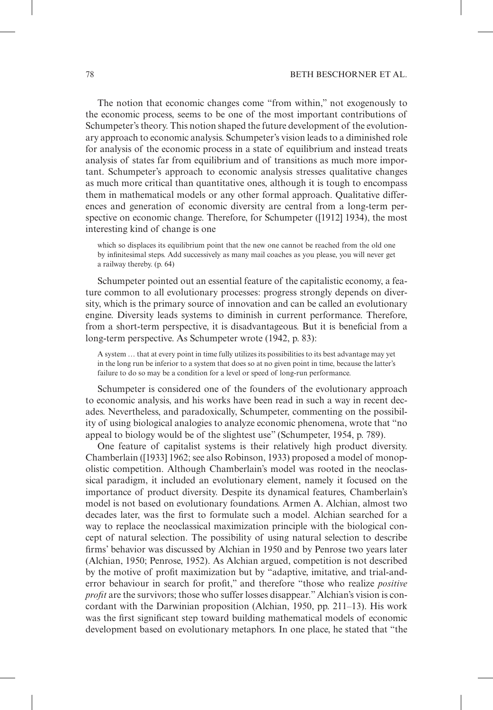The notion that economic changes come "from within," not exogenously to the economic process, seems to be one of the most important contributions of Schumpeter's theory. This notion shaped the future development of the evolutionary approach to economic analysis. Schumpeter's vision leads to a diminished role for analysis of the economic process in a state of equilibrium and instead treats analysis of states far from equilibrium and of transitions as much more important. Schumpeter's approach to economic analysis stresses qualitative changes as much more critical than quantitative ones, although it is tough to encompass them in mathematical models or any other formal approach. Qualitative differences and generation of economic diversity are central from a long-term perspective on economic change. Therefore, for Schumpeter ([1912] 1934), the most interesting kind of change is one

which so displaces its equilibrium point that the new one cannot be reached from the old one by infinitesimal steps. Add successively as many mail coaches as you please, you will never get a railway thereby. (p. 64)

Schumpeter pointed out an essential feature of the capitalistic economy, a feature common to all evolutionary processes: progress strongly depends on diversity, which is the primary source of innovation and can be called an evolutionary engine. Diversity leads systems to diminish in current performance. Therefore, from a short-term perspective, it is disadvantageous. But it is beneficial from a long-term perspective. As Schumpeter wrote (1942, p. 83):

A system … that at every point in time fully utilizes its possibilities to its best advantage may yet in the long run be inferior to a system that does so at no given point in time, because the latter's failure to do so may be a condition for a level or speed of long-run performance.

Schumpeter is considered one of the founders of the evolutionary approach to economic analysis, and his works have been read in such a way in recent decades. Nevertheless, and paradoxically, Schumpeter, commenting on the possibility of using biological analogies to analyze economic phenomena, wrote that "no appeal to biology would be of the slightest use" (Schumpeter, 1954, p. 789).

One feature of capitalist systems is their relatively high product diversity. Chamberlain ([1933] 1962; see also Robinson, 1933) proposed a model of monopolistic competition. Although Chamberlain's model was rooted in the neoclassical paradigm, it included an evolutionary element, namely it focused on the importance of product diversity. Despite its dynamical features, Chamberlain's model is not based on evolutionary foundations. Armen A. Alchian, almost two decades later, was the first to formulate such a model. Alchian searched for a way to replace the neoclassical maximization principle with the biological concept of natural selection. The possibility of using natural selection to describe firms' behavior was discussed by Alchian in 1950 and by Penrose two years later (Alchian, 1950; Penrose, 1952). As Alchian argued, competition is not described by the motive of profit maximization but by "adaptive, imitative, and trial-anderror behaviour in search for profit," and therefore "those who realize *positive profit* are the survivors; those who suffer losses disappear." Alchian's vision is concordant with the Darwinian proposition (Alchian, 1950, pp. 211–13). His work was the first significant step toward building mathematical models of economic development based on evolutionary metaphors. In one place, he stated that "the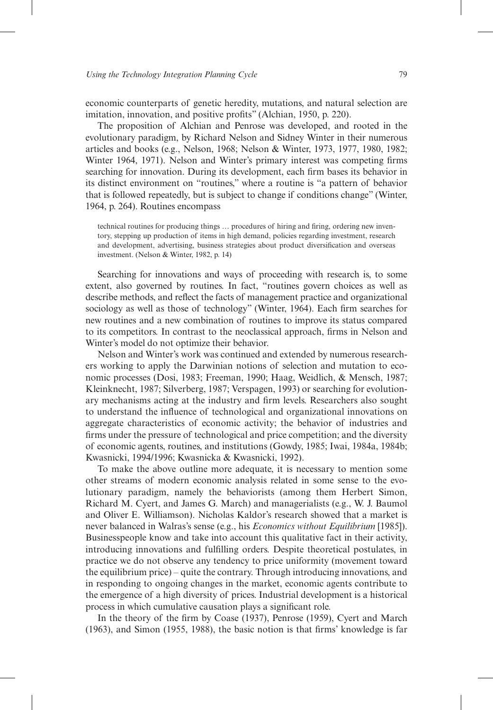economic counterparts of genetic heredity, mutations, and natural selection are imitation, innovation, and positive profits" (Alchian, 1950, p. 220).

The proposition of Alchian and Penrose was developed, and rooted in the evolutionary paradigm, by Richard Nelson and Sidney Winter in their numerous articles and books (e.g., Nelson, 1968; Nelson & Winter, 1973, 1977, 1980, 1982; Winter 1964, 1971). Nelson and Winter's primary interest was competing firms searching for innovation. During its development, each firm bases its behavior in its distinct environment on "routines," where a routine is "a pattern of behavior that is followed repeatedly, but is subject to change if conditions change" (Winter, 1964, p. 264). Routines encompass

technical routines for producing things … procedures of hiring and firing, ordering new inventory, stepping up production of items in high demand, policies regarding investment, research and development, advertising, business strategies about product diversification and overseas investment. (Nelson & Winter, 1982, p. 14)

Searching for innovations and ways of proceeding with research is, to some extent, also governed by routines. In fact, "routines govern choices as well as describe methods, and reflect the facts of management practice and organizational sociology as well as those of technology" (Winter, 1964). Each firm searches for new routines and a new combination of routines to improve its status compared to its competitors. In contrast to the neoclassical approach, firms in Nelson and Winter's model do not optimize their behavior.

Nelson and Winter's work was continued and extended by numerous researchers working to apply the Darwinian notions of selection and mutation to economic processes (Dosi, 1983; Freeman, 1990; Haag, Weidlich, & Mensch, 1987; Kleinknecht, 1987; Silverberg, 1987; Verspagen, 1993) or searching for evolutionary mechanisms acting at the industry and firm levels. Researchers also sought to understand the influence of technological and organizational innovations on aggregate characteristics of economic activity; the behavior of industries and firms under the pressure of technological and price competition; and the diversity of economic agents, routines, and institutions (Gowdy, 1985; Iwai, 1984a, 1984b; Kwasnicki, 1994/1996; Kwasnicka & Kwasnicki, 1992).

To make the above outline more adequate, it is necessary to mention some other streams of modern economic analysis related in some sense to the evolutionary paradigm, namely the behaviorists (among them Herbert Simon, Richard M. Cyert, and James G. March) and managerialists (e.g., W. J. Baumol and Oliver E. Williamson). Nicholas Kaldor's research showed that a market is never balanced in Walras's sense (e.g., his *Economics without Equilibrium* [1985]). Businesspeople know and take into account this qualitative fact in their activity, introducing innovations and fulfilling orders. Despite theoretical postulates, in practice we do not observe any tendency to price uniformity (movement toward the equilibrium price) – quite the contrary. Through introducing innovations, and in responding to ongoing changes in the market, economic agents contribute to the emergence of a high diversity of prices. Industrial development is a historical process in which cumulative causation plays a significant role.

In the theory of the firm by Coase (1937), Penrose (1959), Cyert and March (1963), and Simon (1955, 1988), the basic notion is that firms' knowledge is far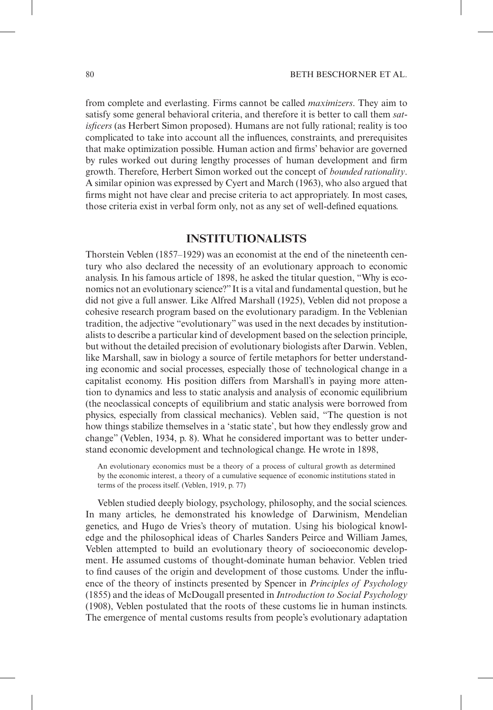from complete and everlasting. Firms cannot be called *maximizers*. They aim to satisfy some general behavioral criteria, and therefore it is better to call them *satisficers* (as Herbert Simon proposed). Humans are not fully rational; reality is too complicated to take into account all the influences, constraints, and prerequisites that make optimization possible. Human action and firms' behavior are governed by rules worked out during lengthy processes of human development and firm growth. Therefore, Herbert Simon worked out the concept of *bounded rationality*. A similar opinion was expressed by Cyert and March (1963), who also argued that firms might not have clear and precise criteria to act appropriately. In most cases, those criteria exist in verbal form only, not as any set of well-defined equations.

#### **Institutionalists**

Thorstein Veblen (1857–1929) was an economist at the end of the nineteenth century who also declared the necessity of an evolutionary approach to economic analysis. In his famous article of 1898, he asked the titular question, "Why is economics not an evolutionary science?" It is a vital and fundamental question, but he did not give a full answer. Like Alfred Marshall (1925), Veblen did not propose a cohesive research program based on the evolutionary paradigm. In the Veblenian tradition, the adjective "evolutionary" was used in the next decades by institutionalists to describe a particular kind of development based on the selection principle, but without the detailed precision of evolutionary biologists after Darwin. Veblen, like Marshall, saw in biology a source of fertile metaphors for better understanding economic and social processes, especially those of technological change in a capitalist economy. His position differs from Marshall's in paying more attention to dynamics and less to static analysis and analysis of economic equilibrium (the neoclassical concepts of equilibrium and static analysis were borrowed from physics, especially from classical mechanics). Veblen said, "The question is not how things stabilize themselves in a 'static state', but how they endlessly grow and change" (Veblen, 1934, p. 8). What he considered important was to better understand economic development and technological change. He wrote in 1898,

An evolutionary economics must be a theory of a process of cultural growth as determined by the economic interest, a theory of a cumulative sequence of economic institutions stated in terms of the process itself. (Veblen, 1919, p. 77)

Veblen studied deeply biology, psychology, philosophy, and the social sciences. In many articles, he demonstrated his knowledge of Darwinism, Mendelian genetics, and Hugo de Vries's theory of mutation. Using his biological knowledge and the philosophical ideas of Charles Sanders Peirce and William James, Veblen attempted to build an evolutionary theory of socioeconomic development. He assumed customs of thought-dominate human behavior. Veblen tried to find causes of the origin and development of those customs. Under the influence of the theory of instincts presented by Spencer in *Principles of Psychology* (1855) and the ideas of McDougall presented in *Introduction to Social Psychology* (1908), Veblen postulated that the roots of these customs lie in human instincts. The emergence of mental customs results from people's evolutionary adaptation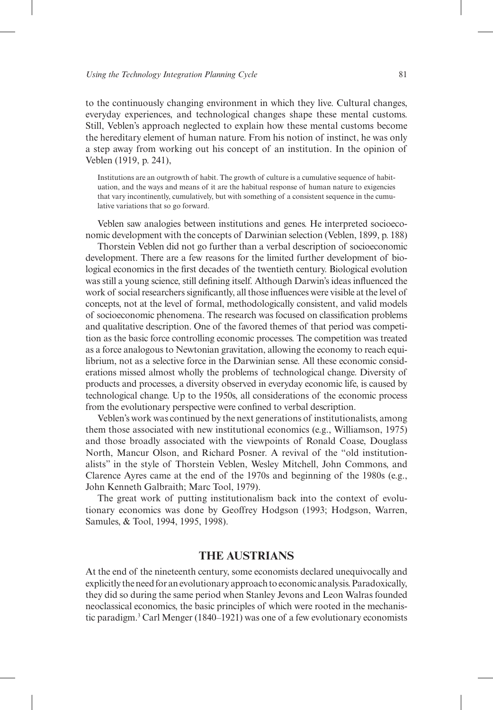to the continuously changing environment in which they live. Cultural changes, everyday experiences, and technological changes shape these mental customs. Still, Veblen's approach neglected to explain how these mental customs become the hereditary element of human nature. From his notion of instinct, he was only a step away from working out his concept of an institution. In the opinion of Veblen (1919, p. 241),

Institutions are an outgrowth of habit. The growth of culture is a cumulative sequence of habituation, and the ways and means of it are the habitual response of human nature to exigencies that vary incontinently, cumulatively, but with something of a consistent sequence in the cumulative variations that so go forward.

Veblen saw analogies between institutions and genes. He interpreted socioeconomic development with the concepts of Darwinian selection (Veblen, 1899, p. 188)

Thorstein Veblen did not go further than a verbal description of socioeconomic development. There are a few reasons for the limited further development of biological economics in the first decades of the twentieth century. Biological evolution was still a young science, still defining itself. Although Darwin's ideas influenced the work of social researchers significantly, all those influences were visible at the level of concepts, not at the level of formal, methodologically consistent, and valid models of socioeconomic phenomena. The research was focused on classification problems and qualitative description. One of the favored themes of that period was competition as the basic force controlling economic processes. The competition was treated as a force analogous to Newtonian gravitation, allowing the economy to reach equilibrium, not as a selective force in the Darwinian sense. All these economic considerations missed almost wholly the problems of technological change. Diversity of products and processes, a diversity observed in everyday economic life, is caused by technological change. Up to the 1950s, all considerations of the economic process from the evolutionary perspective were confined to verbal description.

Veblen's work was continued by the next generations of institutionalists, among them those associated with new institutional economics (e.g., Williamson, 1975) and those broadly associated with the viewpoints of Ronald Coase, Douglass North, Mancur Olson, and Richard Posner. A revival of the "old institutionalists" in the style of Thorstein Veblen, Wesley Mitchell, John Commons, and Clarence Ayres came at the end of the 1970s and beginning of the 1980s (e.g., John Kenneth Galbraith; Marc Tool, 1979).

The great work of putting institutionalism back into the context of evolutionary economics was done by Geoffrey Hodgson (1993; Hodgson, Warren, Samules, & Tool, 1994, 1995, 1998).

#### **The Austrians**

At the end of the nineteenth century, some economists declared unequivocally and explicitly the need for an evolutionary approach to economic analysis. Paradoxically, they did so during the same period when Stanley Jevons and Leon Walras founded neoclassical economics, the basic principles of which were rooted in the mechanistic paradigm.3 Carl Menger (1840–1921) was one of a few evolutionary economists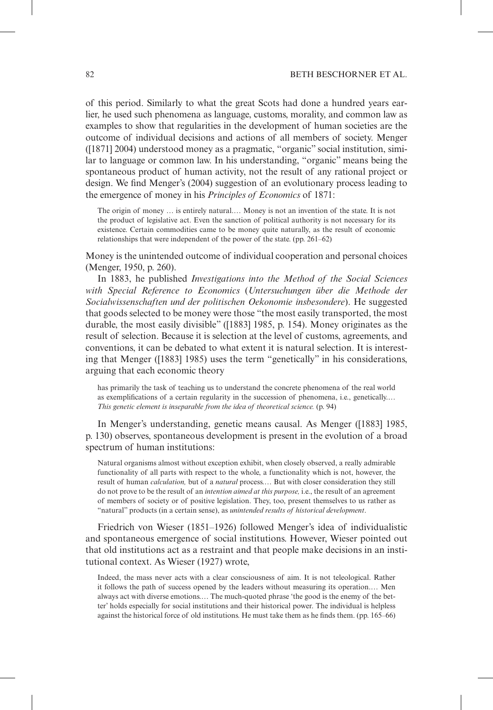of this period. Similarly to what the great Scots had done a hundred years earlier, he used such phenomena as language, customs, morality, and common law as examples to show that regularities in the development of human societies are the outcome of individual decisions and actions of all members of society. Menger ([1871] 2004) understood money as a pragmatic, "organic" social institution, similar to language or common law. In his understanding, "organic" means being the spontaneous product of human activity, not the result of any rational project or design. We find Menger's (2004) suggestion of an evolutionary process leading to the emergence of money in his *Principles of Economics* of 1871:

The origin of money … is entirely natural.… Money is not an invention of the state. It is not the product of legislative act. Even the sanction of political authority is not necessary for its existence. Certain commodities came to be money quite naturally, as the result of economic relationships that were independent of the power of the state. (pp. 261–62)

Money is the unintended outcome of individual cooperation and personal choices (Menger, 1950, p. 260).

In 1883, he published *Investigations into the Method of the Social Sciences with Special Reference to Economics* (*Untersuchungen über die Methode der Socialwissenschaften und der politischen Oekonomie insbesondere*). He suggested that goods selected to be money were those "the most easily transported, the most durable, the most easily divisible" ([1883] 1985, p. 154). Money originates as the result of selection. Because it is selection at the level of customs, agreements, and conventions, it can be debated to what extent it is natural selection. It is interesting that Menger ([1883] 1985) uses the term "genetically" in his considerations, arguing that each economic theory

has primarily the task of teaching us to understand the concrete phenomena of the real world as exemplifications of a certain regularity in the succession of phenomena, i.e., genetically.… *This genetic element is inseparable from the idea of theoretical science.* (p. 94)

In Menger's understanding, genetic means causal. As Menger ([1883] 1985, p. 130) observes, spontaneous development is present in the evolution of a broad spectrum of human institutions:

Natural organisms almost without exception exhibit, when closely observed, a really admirable functionality of all parts with respect to the whole, a functionality which is not, however, the result of human *calculation,* but of a *natural* process.… But with closer consideration they still do not prove to be the result of an *intention aimed at this purpose,* i.e., the result of an agreement of members of society or of positive legislation. They, too, present themselves to us rather as "natural" products (in a certain sense), as *unintended results of historical development*.

Friedrich von Wieser (1851–1926) followed Menger's idea of individualistic and spontaneous emergence of social institutions. However, Wieser pointed out that old institutions act as a restraint and that people make decisions in an institutional context. As Wieser (1927) wrote,

Indeed, the mass never acts with a clear consciousness of aim. It is not teleological. Rather it follows the path of success opened by the leaders without measuring its operation.… Men always act with diverse emotions.… The much-quoted phrase 'the good is the enemy of the better' holds especially for social institutions and their historical power. The individual is helpless against the historical force of old institutions. He must take them as he finds them. (pp. 165–66)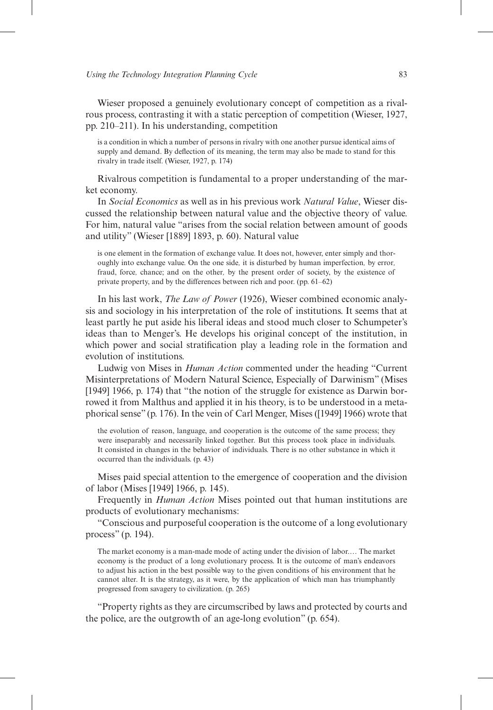Wieser proposed a genuinely evolutionary concept of competition as a rivalrous process, contrasting it with a static perception of competition (Wieser, 1927, pp. 210–211). In his understanding, competition

is a condition in which a number of persons in rivalry with one another pursue identical aims of supply and demand. By deflection of its meaning, the term may also be made to stand for this rivalry in trade itself. (Wieser, 1927, p. 174)

Rivalrous competition is fundamental to a proper understanding of the market economy.

In *Social Economics* as well as in his previous work *Natural Value*, Wieser discussed the relationship between natural value and the objective theory of value. For him, natural value "arises from the social relation between amount of goods and utility" (Wieser [1889] 1893, p. 60). Natural value

is one element in the formation of exchange value. It does not, however, enter simply and thoroughly into exchange value. On the one side*,* it is disturbed by human imperfection*,* by error*,* fraud, force*,* chance; and on the other*,* by the present order of society, by the existence of private property, and by the differences between rich and poor. (pp. 61–62)

In his last work, *The Law of Power* (1926), Wieser combined economic analysis and sociology in his interpretation of the role of institutions. It seems that at least partly he put aside his liberal ideas and stood much closer to Schumpeter's ideas than to Menger's. He develops his original concept of the institution, in which power and social stratification play a leading role in the formation and evolution of institutions.

Ludwig von Mises in *Human Action* commented under the heading "Current Misinterpretations of Modern Natural Science, Especially of Darwinism" (Mises [1949] 1966, p. 174) that "the notion of the struggle for existence as Darwin borrowed it from Malthus and applied it in his theory, is to be understood in a metaphorical sense" (p. 176). In the vein of Carl Menger, Mises ([1949] 1966) wrote that

the evolution of reason, language, and cooperation is the outcome of the same process; they were inseparably and necessarily linked together. But this process took place in individuals. It consisted in changes in the behavior of individuals. There is no other substance in which it occurred than the individuals. (p. 43)

Mises paid special attention to the emergence of cooperation and the division of labor (Mises [1949] 1966, p. 145).

Frequently in *Human Action* Mises pointed out that human institutions are products of evolutionary mechanisms:

"Conscious and purposeful cooperation is the outcome of a long evolutionary process" (p. 194).

The market economy is a man-made mode of acting under the division of labor.… The market economy is the product of a long evolutionary process. It is the outcome of man's endeavors to adjust his action in the best possible way to the given conditions of his environment that he cannot alter. It is the strategy, as it were, by the application of which man has triumphantly progressed from savagery to civilization. (p. 265)

"Property rights as they are circumscribed by laws and protected by courts and the police, are the outgrowth of an age-long evolution" (p. 654).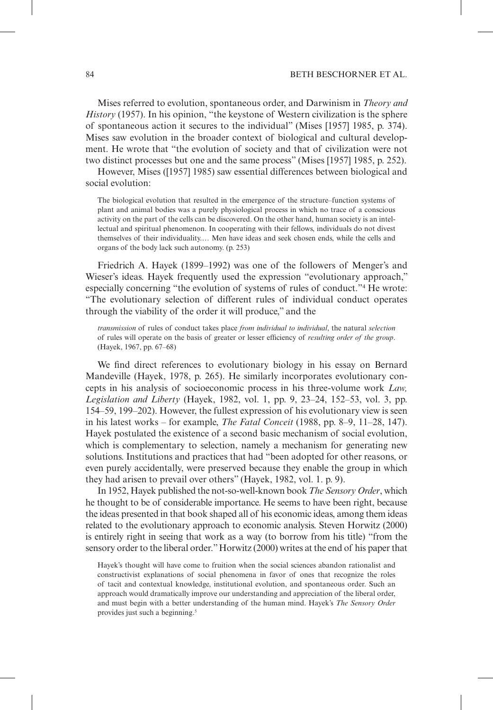Mises referred to evolution, spontaneous order, and Darwinism in *Theory and History* (1957). In his opinion, "the keystone of Western civilization is the sphere of spontaneous action it secures to the individual" (Mises [1957] 1985, p. 374). Mises saw evolution in the broader context of biological and cultural development. He wrote that "the evolution of society and that of civilization were not two distinct processes but one and the same process" (Mises [1957] 1985, p. 252).

However, Mises ([1957] 1985) saw essential differences between biological and social evolution:

The biological evolution that resulted in the emergence of the structure–function systems of plant and animal bodies was a purely physiological process in which no trace of a conscious activity on the part of the cells can be discovered. On the other hand, human society is an intellectual and spiritual phenomenon. In cooperating with their fellows, individuals do not divest themselves of their individuality.… Men have ideas and seek chosen ends, while the cells and organs of the body lack such autonomy. (p. 253)

Friedrich A. Hayek (1899–1992) was one of the followers of Menger's and Wieser's ideas. Hayek frequently used the expression "evolutionary approach," especially concerning "the evolution of systems of rules of conduct."4 He wrote: "The evolutionary selection of different rules of individual conduct operates through the viability of the order it will produce," and the

*transmission* of rules of conduct takes place *from individual to individual*, the natural *selection* of rules will operate on the basis of greater or lesser efficiency of *resulting order of the group*. (Hayek, 1967, pp. 67–68)

We find direct references to evolutionary biology in his essay on Bernard Mandeville (Hayek, 1978, p. 265). He similarly incorporates evolutionary concepts in his analysis of socioeconomic process in his three-volume work *Law, Legislation and Liberty* (Hayek, 1982, vol. 1, pp. 9, 23–24, 152–53, vol. 3, pp. 154–59, 199–202). However, the fullest expression of his evolutionary view is seen in his latest works – for example, *The Fatal Conceit* (1988, pp. 8–9, 11–28, 147). Hayek postulated the existence of a second basic mechanism of social evolution, which is complementary to selection, namely a mechanism for generating new solutions. Institutions and practices that had "been adopted for other reasons, or even purely accidentally, were preserved because they enable the group in which they had arisen to prevail over others" (Hayek, 1982, vol. 1. p. 9).

In 1952, Hayek published the not-so-well-known book *The Sensory Order*, which he thought to be of considerable importance. He seems to have been right, because the ideas presented in that book shaped all of his economic ideas, among them ideas related to the evolutionary approach to economic analysis. Steven Horwitz (2000) is entirely right in seeing that work as a way (to borrow from his title) "from the sensory order to the liberal order." Horwitz (2000) writes at the end of his paper that

Hayek's thought will have come to fruition when the social sciences abandon rationalist and constructivist explanations of social phenomena in favor of ones that recognize the roles of tacit and contextual knowledge, institutional evolution, and spontaneous order. Such an approach would dramatically improve our understanding and appreciation of the liberal order, and must begin with a better understanding of the human mind. Hayek's *The Sensory Order* provides just such a beginning.<sup>5</sup>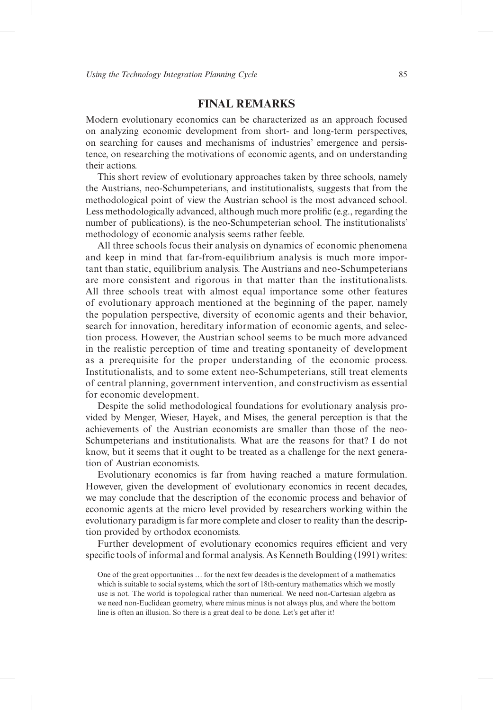#### **Final Remarks**

Modern evolutionary economics can be characterized as an approach focused on analyzing economic development from short- and long-term perspectives, on searching for causes and mechanisms of industries' emergence and persistence, on researching the motivations of economic agents, and on understanding their actions.

This short review of evolutionary approaches taken by three schools, namely the Austrians, neo-Schumpeterians, and institutionalists, suggests that from the methodological point of view the Austrian school is the most advanced school. Less methodologically advanced, although much more prolific (e.g., regarding the number of publications), is the neo-Schumpeterian school. The institutionalists' methodology of economic analysis seems rather feeble.

All three schools focus their analysis on dynamics of economic phenomena and keep in mind that far-from-equilibrium analysis is much more important than static, equilibrium analysis. The Austrians and neo-Schumpeterians are more consistent and rigorous in that matter than the institutionalists. All three schools treat with almost equal importance some other features of evolutionary approach mentioned at the beginning of the paper, namely the population perspective, diversity of economic agents and their behavior, search for innovation, hereditary information of economic agents, and selection process. However, the Austrian school seems to be much more advanced in the realistic perception of time and treating spontaneity of development as a prerequisite for the proper understanding of the economic process. Institutionalists, and to some extent neo-Schumpeterians, still treat elements of central planning, government intervention, and constructivism as essential for economic development.

Despite the solid methodological foundations for evolutionary analysis provided by Menger, Wieser, Hayek, and Mises, the general perception is that the achievements of the Austrian economists are smaller than those of the neo-Schumpeterians and institutionalists. What are the reasons for that? I do not know, but it seems that it ought to be treated as a challenge for the next generation of Austrian economists.

Evolutionary economics is far from having reached a mature formulation. However, given the development of evolutionary economics in recent decades, we may conclude that the description of the economic process and behavior of economic agents at the micro level provided by researchers working within the evolutionary paradigm is far more complete and closer to reality than the description provided by orthodox economists.

Further development of evolutionary economics requires efficient and very specific tools of informal and formal analysis. As Kenneth Boulding (1991) writes:

One of the great opportunities … for the next few decades is the development of a mathematics which is suitable to social systems, which the sort of 18th-century mathematics which we mostly use is not. The world is topological rather than numerical. We need non-Cartesian algebra as we need non-Euclidean geometry, where minus minus is not always plus, and where the bottom line is often an illusion. So there is a great deal to be done. Let's get after it!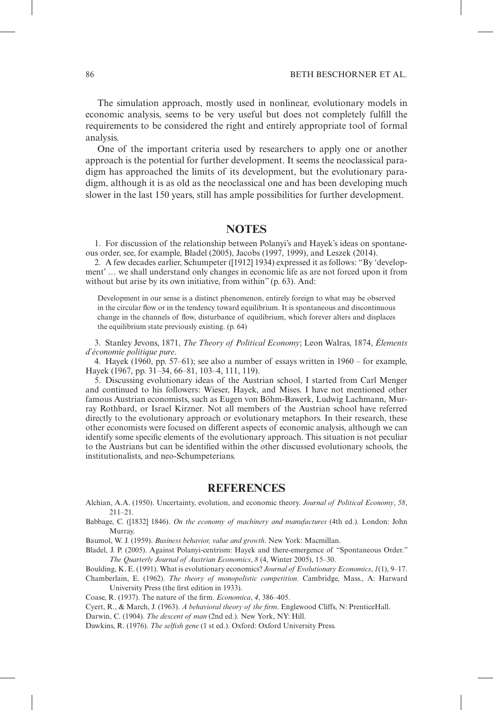The simulation approach, mostly used in nonlinear, evolutionary models in economic analysis, seems to be very useful but does not completely fulfill the requirements to be considered the right and entirely appropriate tool of formal analysis.

One of the important criteria used by researchers to apply one or another approach is the potential for further development. It seems the neoclassical paradigm has approached the limits of its development, but the evolutionary paradigm, although it is as old as the neoclassical one and has been developing much slower in the last 150 years, still has ample possibilities for further development.

#### **Notes**

1. For discussion of the relationship between Polanyi's and Hayek's ideas on spontaneous order, see, for example, Bladel (2005), Jacobs (1997, 1999), and Leszek (2014).

2. A few decades earlier, Schumpeter ([1912] 1934) expressed it as follows: "By 'development' … we shall understand only changes in economic life as are not forced upon it from without but arise by its own initiative, from within" (p. 63). And:

Development in our sense is a distinct phenomenon, entirely foreign to what may be observed in the circular flow or in the tendency toward equilibrium. It is spontaneous and discontinuous change in the channels of flow, disturbance of equilibrium, which forever alters and displaces the equilibrium state previously existing. (p. 64)

3. Stanley Jevons, 1871, *The Theory of Political Economy*; Leon Walras, 1874, *Élements d'économie politique pure*.

4. Hayek (1960, pp. 57–61); see also a number of essays written in 1960 – for example, Hayek (1967, pp. 31–34, 66–81, 103–4, 111, 119).

5. Discussing evolutionary ideas of the Austrian school, I started from Carl Menger and continued to his followers: Wieser, Hayek, and Mises. I have not mentioned other famous Austrian economists, such as Eugen von Böhm-Bawerk, Ludwig Lachmann, Murray Rothbard, or Israel Kirzner. Not all members of the Austrian school have referred directly to the evolutionary approach or evolutionary metaphors. In their research, these other economists were focused on different aspects of economic analysis, although we can identify some specific elements of the evolutionary approach. This situation is not peculiar to the Austrians but can be identified within the other discussed evolutionary schools, the institutionalists, and neo-Schumpeterians.

#### **References**

Alchian, A.A. (1950). Uncertainty, evolution, and economic theory. *Journal of Political Economy*, *58*, 211–21.

Babbage, C. ([1832] 1846). *On the economy of machinery and manufactures* (4th ed.). London: John Murray.

Baumol, W. J. (1959). *Business behavior, value and growth*. New York: Macmillan.

Bladel, J. P. (2005). Against Polanyi-centrism: Hayek and there-emergence of "Spontaneous Order." *The Quarterly Journal of Austrian Economics*, *8* (4, Winter 2005), 15–30.

Boulding, K. E. (1991). What is evolutionary economics? *Journal of Evolutionary Economics*, *1*(1), 9–17.

Chamberlain, E. (1962). *The theory of monopolistic competition*. Cambridge, Mass., A: Harward University Press (the first edition in 1933).

Coase, R. (1937). The nature of the firm. *Economica*, *4*, 386–405.

Cyert, R., & March, J. (1963). *A behavioral theory of the firm*. Englewood Cliffs, N: PrenticeHall.

Darwin, C. (1904). *The descent of man* (2nd ed.). New York, NY: Hill.

Dawkins, R. (1976). *The selfish gene* (1 st ed.). Oxford: Oxford University Press.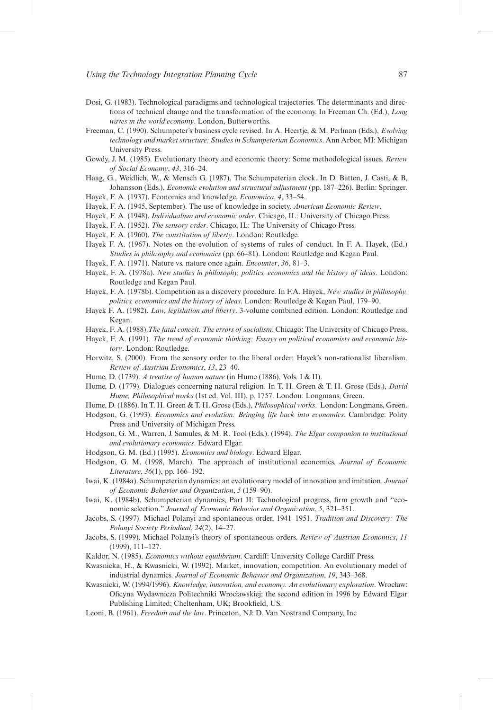- Dosi, G. (1983). Technological paradigms and technological trajectories. The determinants and directions of technical change and the transformation of the economy. In Freeman Ch. (Ed.), *Long waves in the world economy*. London, Butterworths.
- Freeman, C. (1990). Schumpeter's business cycle revised. In A. Heertje, & M. Perlman (Eds.), *Evolving technology and market structure: Studies in Schumpeterian Economics*. Ann Arbor, MI: Michigan University Press.
- Gowdy, J. M. (1985). Evolutionary theory and economic theory: Some methodological issues. *Review of Social Economy*, *43*, 316–24.
- Haag, G., Weidlich, W., & Mensch G. (1987). The Schumpeterian clock. In D. Batten, J. Casti, & B, Johansson (Eds.), *Economic evolution and structural adjustment* (pp. 187–226). Berlin: Springer. Hayek, F. A. (1937). Economics and knowledge. *Economica*, *4*, 33–54.
- Hayek, F. A. (1945, September). The use of knowledge in society. *American Economic Review*.
- Hayek, F. A. (1948). *Individualism and economic order*. Chicago, IL: University of Chicago Press.
- Hayek, F. A. (1952). *The sensory order*. Chicago, IL: The University of Chicago Press.
- Hayek, F. A. (1960). *The constitution of liberty*. London: Routledge.
- Hayek F. A. (1967). Notes on the evolution of systems of rules of conduct. In F. A. Hayek, (Ed.) *Studies in philosophy and economics* (pp. 66–81). London: Routledge and Kegan Paul.
- Hayek, F. A. (1971). Nature vs. nature once again. *Encounter*, *36*, 81–3.
- Hayek, F. A. (1978a). *New studies in philosophy, politics, economics and the history of ideas*. London: Routledge and Kegan Paul.
- Hayek, F. A. (1978b). Competition as a discovery procedure. In F.A. Hayek, *New studies in philosophy, politics, economics and the history of ideas*. London: Routledge & Kegan Paul, 179–90.
- Hayek F. A. (1982). *Law, legislation and liberty*. 3-volume combined edition. London: Routledge and Kegan.
- Hayek, F. A. (1988).*The fatal conceit. The errors of socialism*. Chicago: The University of Chicago Press.
- Hayek, F. A. (1991). *The trend of economic thinking: Essays on political economists and economic history*. London: Routledge.
- Horwitz, S. (2000). From the sensory order to the liberal order: Hayek's non-rationalist liberalism. *Review of Austrian Economics*, *13*, 23–40.
- Hume, D. (1739). *A treatise of human nature* (in Hume (1886), Vols. I & II).
- Hume, D. (1779). Dialogues concerning natural religion. In T. H. Green & T. H. Grose (Eds.), *David Hume, Philosophical works* (1st ed. Vol. III), p. 1757. London: Longmans, Green.
- Hume, D. (1886). In T. H. Green & T. H. Grose (Eds.), *Philosophical works*. London: Longmans, Green.
- Hodgson, G. (1993). *Economics and evolution: Bringing life back into economics*. Cambridge: Polity Press and University of Michigan Press.
- Hodgson, G. M., Warren, J. Samules, & M. R. Tool (Eds.). (1994). *The Elgar companion to institutional and evolutionary economics*. Edward Elgar.
- Hodgson, G. M. (Ed.) (1995). *Economics and biology*. Edward Elgar.
- Hodgson, G. M. (1998, March). The approach of institutional economics. *Journal of Economic Literature*, *36*(1), pp. 166–192.
- Iwai, K. (1984a). Schumpeterian dynamics: an evolutionary model of innovation and imitation. *Journal of Economic Behavior and Organization*, *5* (159–90).
- Iwai, K. (1984b). Schumpeterian dynamics, Part II: Technological progress, firm growth and "economic selection." *Journal of Economic Behavior and Organization*, *5*, 321–351.
- Jacobs, S. (1997). Michael Polanyi and spontaneous order, 1941–1951. *Tradition and Discovery: The Polanyi Society Periodical*, *24*(2), 14–27.
- Jacobs, S. (1999). Michael Polanyi's theory of spontaneous orders. *Review of Austrian Economics*, *11* (1999), 111–127.
- Kaldor, N. (1985). *Economics without equilibrium*. Cardiff: University College Cardiff Press.
- Kwasnicka, H., & Kwasnicki, W. (1992). Market, innovation, competition. An evolutionary model of industrial dynamics. *Journal of Economic Behavior and Organization*, *19*, 343–368.
- Kwasnicki, W. (1994/1996). *Knowledge, innovation, and economy. An evolutionary exploration*. Wrocław: Oficyna Wydawnicza Politechniki Wrocławskiej; the second edition in 1996 by Edward Elgar Publishing Limited; Cheltenham, UK; Brookfield, US.
- Leoni, B. (1961). *Freedom and the law*. Princeton, NJ: D. Van Nostrand Company, Inc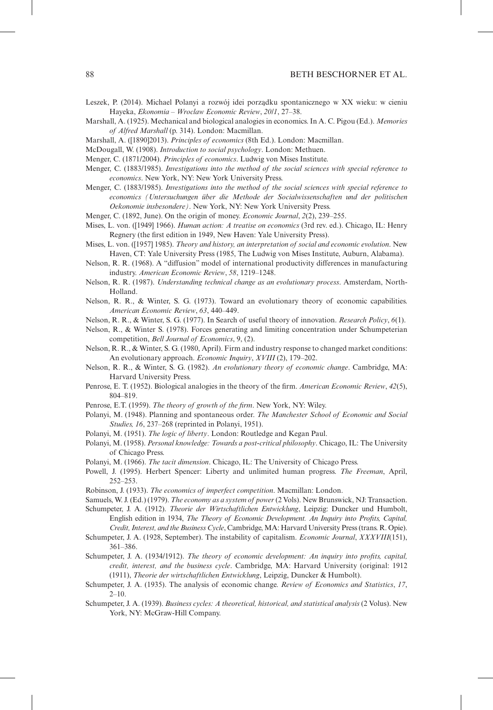- Leszek, P. (2014). Michael Polanyi a rozwój idei porządku spontanicznego w XX wieku: w cieniu Hayeka, *Ekonomia – Wroclaw Economic Review*, *20/1*, 27–38.
- Marshall, A. (1925). Mechanical and biological analogies in economics. In A. C. Pigou (Ed.). *Memories of Alfred Marshall* (p. 314). London: Macmillan.
- Marshall, A. ([1890]2013). *Principles of economics* (8th Ed.). London: Macmillan.
- McDougall, W. (1908). *Introduction to social psychology*. London: Methuen.
- Menger, C. (1871/2004). *Principles of economics*. Ludwig von Mises Institute.
- Menger, C. (1883/1985). *Investigations into the method of the social sciences with special reference to economics*. New York, NY: New York University Press.
- Menger, C. (1883/1985). *Investigations into the method of the social sciences with special reference to economics (Untersuchungen über die Methode der Socialwissenschaften und der politischen Oekonomie insbesondere)*. New York, NY: New York University Press.
- Menger, C. (1892, June). On the origin of money. *Economic Journal*, *2*(2), 239–255.
- Mises, L. von. ([1949] 1966). *Human action: A treatise on economics* (3rd rev. ed.). Chicago, IL: Henry Regnery (the first edition in 1949, New Haven: Yale University Press).
- Mises, L. von. ([1957] 1985). *Theory and history, an interpretation of social and economic evolution*. New Haven, CT: Yale University Press (1985, The Ludwig von Mises Institute, Auburn, Alabama).
- Nelson, R. R. (1968). A "diffusion" model of international productivity differences in manufacturing industry. *American Economic Review*, *58*, 1219–1248.
- Nelson, R. R. (1987). *Understanding technical change as an evolutionary process*. Amsterdam, North-Holland.
- Nelson, R. R., & Winter, S. G. (1973). Toward an evolutionary theory of economic capabilities. *American Economic Review*, *63*, 440–449.
- Nelson, R. R., & Winter, S. G. (1977). In Search of useful theory of innovation. *Research Policy*, *6*(1).
- Nelson, R., & Winter S. (1978). Forces generating and limiting concentration under Schumpeterian competition, *Bell Journal of Economics*, 9, (2).
- Nelson, R. R., & Winter, S. G. (1980, April). Firm and industry response to changed market conditions: An evolutionary approach. *Economic Inquiry*, *XVIII* (2), 179–202.
- Nelson, R. R., & Winter, S. G. (1982). *An evolutionary theory of economic change*. Cambridge, MA: Harvard University Press.
- Penrose, E. T. (1952). Biological analogies in the theory of the firm. *American Economic Review*, *42*(5), 804–819.
- Penrose, E.T. (1959). *The theory of growth of the firm*. New York, NY: Wiley.
- Polanyi, M. (1948). Planning and spontaneous order. *The Manchester School of Economic and Social Studies, 16*, 237–268 (reprinted in Polanyi, 1951).
- Polanyi, M. (1951). *The logic of liberty*. London: Routledge and Kegan Paul.
- Polanyi, M. (1958). *Personal knowledge: Towards a post-critical philosophy*. Chicago, IL: The University of Chicago Press.
- Polanyi, M. (1966). *The tacit dimension*. Chicago, IL: The University of Chicago Press.
- Powell, J. (1995). Herbert Spencer: Liberty and unlimited human progress. *The Freeman*, April, 252–253.
- Robinson, J. (1933). *The economics of imperfect competition*. Macmillan: London.
- Samuels, W. J. (Ed.) (1979). *The economy as a system of power* (2 Vols). New Brunswick, NJ: Transaction.
- Schumpeter, J. A. (1912). *Theorie der Wirtschaftlichen Entwicklung*, Leipzig: Duncker und Humbolt, English edition in 1934, *The Theory of Economic Development. An Inquiry into Profits, Capital, Credit, Interest, and the Business Cycle*, Cambridge, MA: Harvard University Press (trans. R. Opie).
- Schumpeter, J. A. (1928, September). The instability of capitalism. *Economic Journal*, *XXXVIII*(151), 361–386.
- Schumpeter, J. A. (1934/1912). *The theory of economic development: An inquiry into profits, capital, credit, interest, and the business cycle*. Cambridge, MA: Harvard University (original: 1912 (1911), *Theorie der wirtschaftlichen Entwicklung*, Leipzig, Duncker & Humbolt).
- Schumpeter, J. A. (1935). The analysis of economic change. *Review of Economics and Statistics*, *17*,  $2 - 10$
- Schumpeter, J. A. (1939). *Business cycles: A theoretical, historical, and statistical analysis* (2 Volus). New York, NY: McGraw-Hill Company.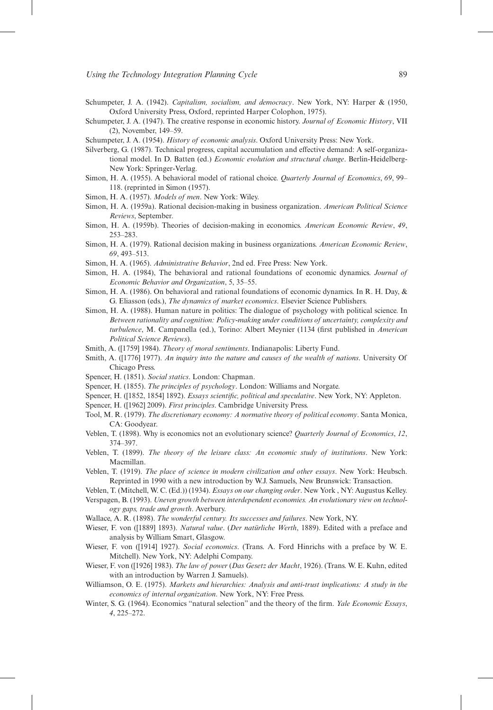- Schumpeter, J. A. (1942). *Capitalism, socialism, and democracy*. New York, NY: Harper & (1950, Oxford University Press, Oxford, reprinted Harper Colophon, 1975).
- Schumpeter, J. A. (1947). The creative response in economic history. *Journal of Economic History*, VII (2), November, 149–59.
- Schumpeter, J. A. (1954). *History of economic analysis*. Oxford University Press: New York.
- Silverberg, G. (1987). Technical progress, capital accumulation and effective demand: A self-organizational model. In D. Batten (ed.) *Economic evolution and structural change*. Berlin-Heidelberg-New York: Springer-Verlag.
- Simon, H. A. (1955). A behavioral model of rational choice. *Quarterly Journal of Economics*, *69*, 99– 118. (reprinted in Simon (1957).
- Simon, H. A. (1957). *Models of men*. New York: Wiley.
- Simon, H. A. (1959a). Rational decision-making in business organization. *American Political Science Reviews*, September.
- Simon, H. A. (1959b). Theories of decision-making in economics. *American Economic Review*, *49*, 253–283.
- Simon, H. A. (1979). Rational decision making in business organizations. *American Economic Review*, *69*, 493–513.
- Simon, H. A. (1965). *Administrative Behavior*, 2nd ed. Free Press: New York.
- Simon, H. A. (1984), The behavioral and rational foundations of economic dynamics. *Journal of Economic Behavior and Organization*, 5, 35–55.
- Simon, H. A. (1986). On behavioral and rational foundations of economic dynamics. In R. H. Day, & G. Eliasson (eds.), *The dynamics of market economics*. Elsevier Science Publishers.
- Simon, H. A. (1988). Human nature in politics: The dialogue of psychology with political science. In *Between rationality and cognition: Policy-making under conditions of uncertainty, complexity and turbulence*, M. Campanella (ed.), Torino: Albert Meynier (1134 (first published in *American Political Science Reviews*).
- Smith, A. ([1759] 1984). *Theory of moral sentiments*. Indianapolis: Liberty Fund.
- Smith, A. ([1776] 1977). *An inquiry into the nature and causes of the wealth of nations*. University Of Chicago Press.
- Spencer, H. (1851). *Social statics*. London: Chapman.
- Spencer, H. (1855). *The principles of psychology*. London: Williams and Norgate.
- Spencer, H. ([1852, 1854] 1892). *Essays scientific, political and speculative*. New York, NY: Appleton.
- Spencer, H. ([1962] 2009). *First principles*. Cambridge University Press.
- Tool, M. R. (1979). *The discretionary economy: A normative theory of political economy*. Santa Monica, CA: Goodyear.
- Veblen, T. (1898). Why is economics not an evolutionary science? *Quarterly Journal of Economics*, *12*, 374–397.
- Veblen, T. (1899). *The theory of the leisure class: An economic study of institutions*. New York: Macmillan.
- Veblen, T. (1919). *The place of science in modern civilization and other essays*. New York: Heubsch. Reprinted in 1990 with a new introduction by W.J. Samuels, New Brunswick: Transaction.
- Veblen, T. (Mitchell, W. C. (Ed.)) (1934). *Essays on our changing order*. New York , NY: Augustus Kelley.
- Verspagen, B. (1993). *Uneven growth between interdependent economies. An evolutionary view on technology gaps, trade and growth*. Averbury.
- Wallace, A. R. (1898). *The wonderful century. Its successes and failures*. New York, NY.
- Wieser, F. von ([1889] 1893). *Natural value*. (*Der natürliche Werth*, 1889). Edited with a preface and analysis by William Smart, Glasgow.
- Wieser, F. von ([1914] 1927). *Social economics*. (Trans. A. Ford Hinrichs with a preface by W. E. Mitchell). New York, NY: Adelphi Company.
- Wieser, F. von ([1926] 1983). *The law of power* (*Das Gesetz der Macht*, 1926). (Trans. W. E. Kuhn, edited with an introduction by Warren J. Samuels).
- Williamson, O. E. (1975). *Markets and hierarchies: Analysis and anti-trust implications: A study in the economics of internal organization*. New York, NY: Free Press.
- Winter, S. G. (1964). Economics "natural selection" and the theory of the firm. *Yale Economic Essays*, *4*, 225–272.